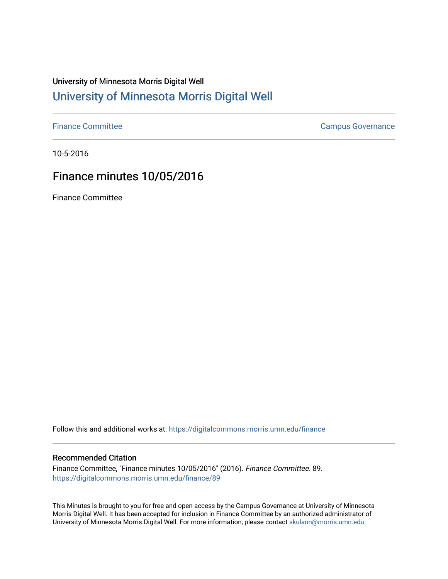### University of Minnesota Morris Digital Well [University of Minnesota Morris Digital Well](https://digitalcommons.morris.umn.edu/)

[Finance Committee](https://digitalcommons.morris.umn.edu/finance) **Campus Governance** Campus Governance

10-5-2016

## Finance minutes 10/05/2016

Finance Committee

Follow this and additional works at: [https://digitalcommons.morris.umn.edu/finance](https://digitalcommons.morris.umn.edu/finance?utm_source=digitalcommons.morris.umn.edu%2Ffinance%2F89&utm_medium=PDF&utm_campaign=PDFCoverPages) 

#### Recommended Citation

Finance Committee, "Finance minutes 10/05/2016" (2016). Finance Committee. 89. [https://digitalcommons.morris.umn.edu/finance/89](https://digitalcommons.morris.umn.edu/finance/89?utm_source=digitalcommons.morris.umn.edu%2Ffinance%2F89&utm_medium=PDF&utm_campaign=PDFCoverPages)

This Minutes is brought to you for free and open access by the Campus Governance at University of Minnesota Morris Digital Well. It has been accepted for inclusion in Finance Committee by an authorized administrator of University of Minnesota Morris Digital Well. For more information, please contact [skulann@morris.umn.edu](mailto:skulann@morris.umn.edu).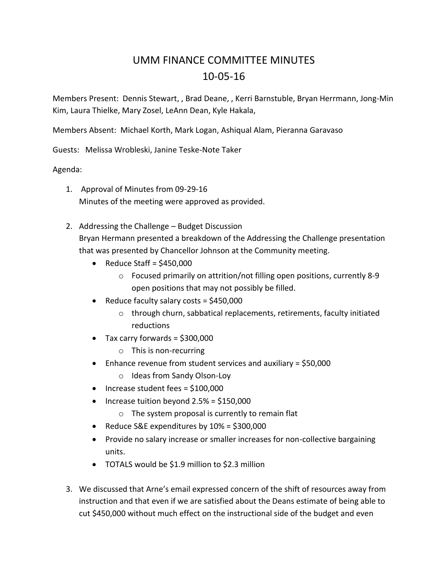# UMM FINANCE COMMITTEE MINUTES 10-05-16

Members Present: Dennis Stewart, , Brad Deane, , Kerri Barnstuble, Bryan Herrmann, Jong-Min Kim, Laura Thielke, Mary Zosel, LeAnn Dean, Kyle Hakala,

Members Absent: Michael Korth, Mark Logan, Ashiqual Alam, Pieranna Garavaso

Guests: Melissa Wrobleski, Janine Teske-Note Taker

### Agenda:

- 1. Approval of Minutes from 09-29-16 Minutes of the meeting were approved as provided.
- 2. Addressing the Challenge Budget Discussion Bryan Hermann presented a breakdown of the Addressing the Challenge presentation that was presented by Chancellor Johnson at the Community meeting.
	- Reduce Staff =  $$450,000$ 
		- o Focused primarily on attrition/not filling open positions, currently 8-9 open positions that may not possibly be filled.
	- Reduce faculty salary costs =  $$450,000$ 
		- o through churn, sabbatical replacements, retirements, faculty initiated reductions
	- $\bullet$  Tax carry forwards = \$300,000
		- o This is non-recurring
	- Enhance revenue from student services and auxiliary = \$50,000
		- o Ideas from Sandy Olson-Loy
	- $\bullet$  Increase student fees = \$100,000
	- $\bullet$  Increase tuition beyond 2.5% = \$150,000
		- o The system proposal is currently to remain flat
	- Reduce S&E expenditures by  $10\% = $300,000$
	- Provide no salary increase or smaller increases for non-collective bargaining units.
	- TOTALS would be \$1.9 million to \$2.3 million
- 3. We discussed that Arne's email expressed concern of the shift of resources away from instruction and that even if we are satisfied about the Deans estimate of being able to cut \$450,000 without much effect on the instructional side of the budget and even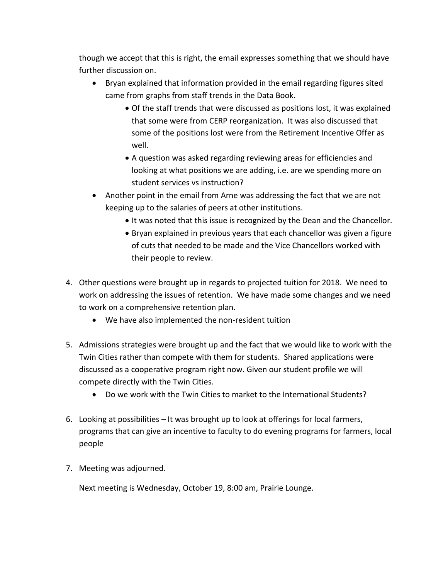though we accept that this is right, the email expresses something that we should have further discussion on.

- Bryan explained that information provided in the email regarding figures sited came from graphs from staff trends in the Data Book.
	- Of the staff trends that were discussed as positions lost, it was explained that some were from CERP reorganization. It was also discussed that some of the positions lost were from the Retirement Incentive Offer as well.
	- A question was asked regarding reviewing areas for efficiencies and looking at what positions we are adding, i.e. are we spending more on student services vs instruction?
- Another point in the email from Arne was addressing the fact that we are not keeping up to the salaries of peers at other institutions.
	- It was noted that this issue is recognized by the Dean and the Chancellor.
	- Bryan explained in previous years that each chancellor was given a figure of cuts that needed to be made and the Vice Chancellors worked with their people to review.
- 4. Other questions were brought up in regards to projected tuition for 2018. We need to work on addressing the issues of retention. We have made some changes and we need to work on a comprehensive retention plan.
	- We have also implemented the non-resident tuition
- 5. Admissions strategies were brought up and the fact that we would like to work with the Twin Cities rather than compete with them for students. Shared applications were discussed as a cooperative program right now. Given our student profile we will compete directly with the Twin Cities.
	- Do we work with the Twin Cities to market to the International Students?
- 6. Looking at possibilities It was brought up to look at offerings for local farmers, programs that can give an incentive to faculty to do evening programs for farmers, local people
- 7. Meeting was adjourned.

Next meeting is Wednesday, October 19, 8:00 am, Prairie Lounge.